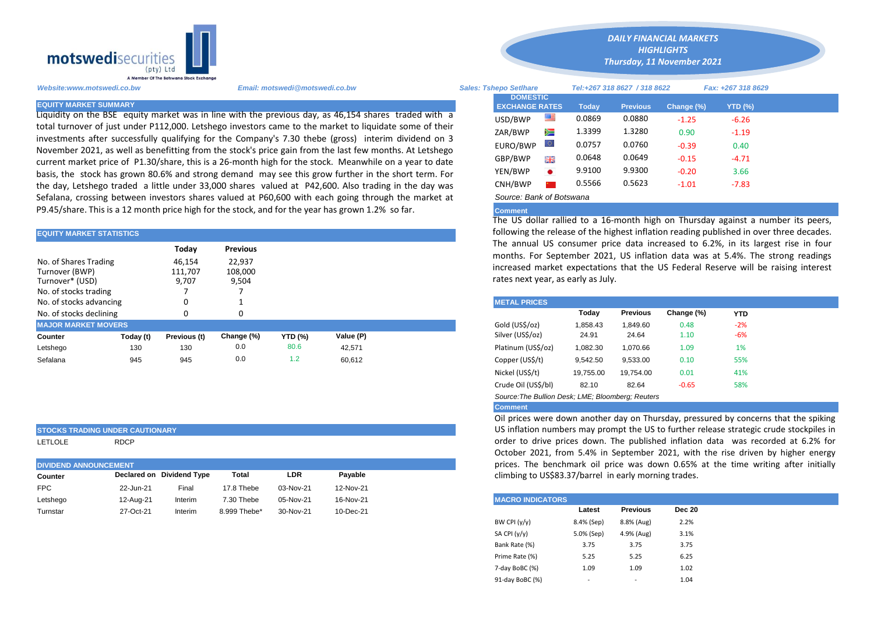

Liquidity on the BSE equity market was in line with the previous day, as 46,154 shares traded with a total turnover of just under P112,000. Letshego investors came to the market to liquidate some of their investments after successfully qualifying for the Company's 7.30 thebe (gross) interim dividend on 3 November 2021, as well as benefitting from the stock's price gain from the last few months. At Letshego current market price of P1.30/share, this is a 26-month high for the stock. Meanwhile on a year to date basis, the stock has grown 80.6% and strong demand may see this grow further in the short term. For the day, Letshego traded a little under 33,000 shares valued at P42,600. Also trading in the day was Sefalana, crossing between investors shares valued at P60,600 with each going through the market at P9.45/share. This is a 12 month price high for the stock, and for the year has grown 1.2% so far.

| <b>EQUITY MARKET STATISTICS</b>                                                     |           |                            |                            |                | following the release of the highest inflation reading published in over |  |                                                                                                                                     |          |          |            |            |  |  |  |
|-------------------------------------------------------------------------------------|-----------|----------------------------|----------------------------|----------------|--------------------------------------------------------------------------|--|-------------------------------------------------------------------------------------------------------------------------------------|----------|----------|------------|------------|--|--|--|
|                                                                                     |           | Today                      | <b>Previous</b>            |                |                                                                          |  | The annual US consumer price data increased to 6.2%, in its large<br>months. For September 2021, US inflation data was at 5.4%. The |          |          |            |            |  |  |  |
| No. of Shares Trading<br>Turnover (BWP)<br>Turnover* (USD)<br>No. of stocks trading |           | 46.154<br>111,707<br>9.707 | 22,937<br>108,000<br>9,504 |                |                                                                          |  | increased market expectations that the US Federal Reserve will be<br>rates next year, as early as July.                             |          |          |            |            |  |  |  |
| No. of stocks advancing                                                             |           | 0                          |                            |                |                                                                          |  | <b>METAL PRICES</b>                                                                                                                 |          |          |            |            |  |  |  |
| No. of stocks declining                                                             |           | $\Omega$                   |                            |                |                                                                          |  |                                                                                                                                     | Today    | Previous | Change (%) | <b>YTD</b> |  |  |  |
| <b>MAJOR MARKET MOVERS</b>                                                          |           |                            |                            |                |                                                                          |  | Gold (US\$/oz)                                                                                                                      | 1.858.43 | 1.849.60 | 0.48       | $-2%$      |  |  |  |
| Counter                                                                             | Today (t) | Previous (t)               | Change (%)                 | <b>YTD (%)</b> | Value (P)                                                                |  | Silver (US\$/oz)                                                                                                                    | 24.91    | 24.64    | 1.10       | $-6%$      |  |  |  |
| Letshego                                                                            | 130       | 130                        | 0.0                        | 80.6           | 42,571                                                                   |  | Platinum (US\$/oz)                                                                                                                  | 1,082.30 | 1.070.66 | 1.09       | 1%         |  |  |  |
| Sefalana                                                                            | 945       | 945                        | 0.0                        | 1.2            | 60.612                                                                   |  | Copper (US\$/t)                                                                                                                     | 9.542.50 | 9,533.00 | 0.10       | 55%        |  |  |  |

## **STOCKS TRADING UNDER CAUTIONARY**

LETLOLE RDCP

| <b>DIVIDEND ANNOUNCEMENT</b> |           |                           |              |            |           |  |  |  |
|------------------------------|-----------|---------------------------|--------------|------------|-----------|--|--|--|
| Counter                      |           | Declared on Dividend Type | Total        | <b>LDR</b> | Pavable   |  |  |  |
| <b>FPC</b>                   | 22-Jun-21 | Final                     | 17.8 Thebe   | 03-Nov-21  | 12-Nov-21 |  |  |  |
| Letshego                     | 12-Aug-21 | Interim                   | 7.30 Thebe   | 05-Nov-21  | 16-Nov-21 |  |  |  |
| Turnstar                     | 27-Oct-21 | Interim                   | 8.999 Thebe* | 30-Nov-21  | 10-Dec-21 |  |  |  |

*HIGHLIGHTS Thursday, 11 November 2021* 

*DAILY FINANCIAL MARKETS*

| Website:www.motswedi.co.bw   | Email: motswedi@motswedi.co.bw                                                                                                                                                                                  | <b>Sales: Tshepo Setlhare</b>            | Tel:+267 318 8627 / 318 8622 |              |                 |            | Fax: +267 318 8629 |  |
|------------------------------|-----------------------------------------------------------------------------------------------------------------------------------------------------------------------------------------------------------------|------------------------------------------|------------------------------|--------------|-----------------|------------|--------------------|--|
| <b>EQUITY MARKET SUMMARY</b> |                                                                                                                                                                                                                 | <b>DOMESTIC</b><br><b>EXCHANGE RATES</b> |                              | <b>Todav</b> | <b>Previous</b> | Change (%) | <b>YTD (%)</b>     |  |
|                              | Liquidity on the BSE equity market was in line with the previous day, as 46,154 shares traded with a                                                                                                            | USD/BWP                                  | 警                            | 0.0869       | 0.0880          | $-1.25$    | $-6.26$            |  |
|                              | total turnover of just under P112,000. Letshego investors came to the market to liquidate some of their                                                                                                         | ZAR/BWP                                  | ≋                            | 1.3399       | 1.3280          | 0.90       | $-1.19$            |  |
|                              | investments after successfully qualifying for the Company's 7.30 thebe (gross) interim dividend on 3<br>November 2021, as well as benefitting from the stock's price gain from the last few months. At Letshego | EURO/BWP                                 |                              | 0.0757       | 0.0760          | $-0.39$    | 0.40               |  |
|                              | current market price of P1.30/share, this is a 26-month high for the stock. Meanwhile on a year to date                                                                                                         | GBP/BWP                                  | 開業                           | 0.0648       | 0.0649          | $-0.15$    | $-4.71$            |  |
|                              | basis, the stock has grown 80.6% and strong demand may see this grow further in the short term. For                                                                                                             | YEN/BWP                                  | $\bullet$                    | 9.9100       | 9.9300          | $-0.20$    | 3.66               |  |
|                              | the day, Letshego traded a little under 33,000 shares valued at P42,600. Also trading in the day was                                                                                                            | CNH/BWP                                  |                              | 0.5566       | 0.5623          | $-1.01$    | $-7.83$            |  |
|                              | Sefalana, crossing hetween investors shares valued at P60.600 with each going through the market at                                                                                                             | Source: Bank of Botswana                 |                              |              |                 |            |                    |  |

## **Comment**

The US dollar rallied to a 16-month high on Thursday against a number its peers, following the release of the highest inflation reading published in over three decades. The annual US consumer price data increased to 6.2%, in its largest rise in four months. For September 2021, US inflation data was at 5.4%. The strong readings increased market expectations that the US Federal Reserve will be raising interest rates next year, as early as July.

| <b>METAL PRICES</b>                               |           |                 |            |            |  |
|---------------------------------------------------|-----------|-----------------|------------|------------|--|
|                                                   | Today     | <b>Previous</b> | Change (%) | <b>YTD</b> |  |
| Gold (US\$/oz)                                    | 1,858.43  | 1.849.60        | 0.48       | $-2%$      |  |
| Silver (US\$/oz)                                  | 24.91     | 24.64           | 1.10       | -6%        |  |
| Platinum (US\$/oz)                                | 1,082.30  | 1.070.66        | 1.09       | 1%         |  |
| Copper (US\$/t)                                   | 9,542.50  | 9,533.00        | 0.10       | 55%        |  |
| Nickel (US\$/t)                                   | 19,755.00 | 19,754.00       | 0.01       | 41%        |  |
| Crude Oil (US\$/bl)                               | 82.10     | 82.64           | $-0.65$    | 58%        |  |
| Source: The Bullion Desk: LME: Bloomberg: Reuters |           |                 |            |            |  |

## **Comment**

Oil prices were down another day on Thursday, pressured by concerns that the spiking US inflation numbers may prompt the US to further release strategic crude stockpiles in order to drive prices down. The published inflation data was recorded at 6.2% for October 2021, from 5.4% in September 2021, with the rise driven by higher energy prices. The benchmark oil price was down 0.65% at the time writing after initially climbing to US\$83.37/barrel in early morning trades.

| <b>MACRO INDICATORS</b> |                          |                          |               |  |  |  |  |  |  |  |
|-------------------------|--------------------------|--------------------------|---------------|--|--|--|--|--|--|--|
|                         | Latest                   | <b>Previous</b>          | <b>Dec 20</b> |  |  |  |  |  |  |  |
| BW CPI $(y/y)$          | 8.4% (Sep)               | 8.8% (Aug)               | 2.2%          |  |  |  |  |  |  |  |
| SA CPI $(y/y)$          | 5.0% (Sep)               | 4.9% (Aug)               | 3.1%          |  |  |  |  |  |  |  |
| Bank Rate (%)           | 3.75                     | 3.75                     | 3.75          |  |  |  |  |  |  |  |
| Prime Rate (%)          | 5.25                     | 5.25                     | 6.25          |  |  |  |  |  |  |  |
| 7-day BoBC (%)          | 1.09                     | 1.09                     | 1.02          |  |  |  |  |  |  |  |
| 91-day BoBC (%)         | $\overline{\phantom{a}}$ | $\overline{\phantom{a}}$ | 1.04          |  |  |  |  |  |  |  |